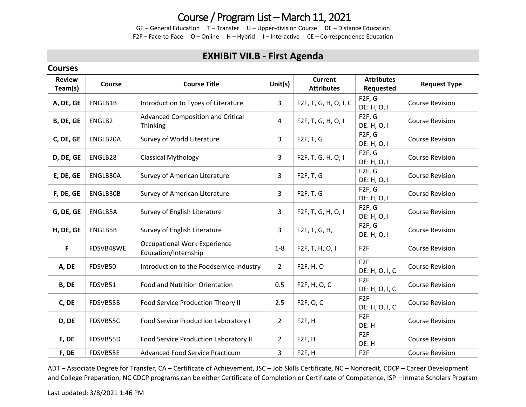## Course / Program List – March 11, 2021

GE – General Education T – Transfer U – Upper-division Course DE – Distance Education F2F – Face-to-Face O – Online H – Hybrid I – Interactive CE – Correspondence Education

### **EXHIBIT VII.B - First Agenda**

#### **Courses**

| <b>Review</b><br>Team(s) | <b>Course</b> | <b>Course Title</b>                                         | Unit $(s)$     | <b>Current</b><br><b>Attributes</b> | <b>Attributes</b><br>Requested     | <b>Request Type</b>    |  |
|--------------------------|---------------|-------------------------------------------------------------|----------------|-------------------------------------|------------------------------------|------------------------|--|
| A, DE, GE                | ENGLB1B       | Introduction to Types of Literature                         | $\overline{3}$ | F2F, T, G, H, O, I, C               | F2F, G<br>DE: H, O, I              | <b>Course Revision</b> |  |
| B, DE, GE                | ENGLB2        | Advanced Composition and Critical<br>Thinking               | 4              | F2F, T, G, H, O, I                  | F <sub>2F</sub> , G<br>DE: H, O, I | <b>Course Revision</b> |  |
| C, DE, GE                | ENGLB20A      | Survey of World Literature                                  | 3              | F2F, T, G                           | F2F, G<br>DE: H, O, I              | <b>Course Revision</b> |  |
| D, DE, GE                | ENGLB28       | <b>Classical Mythology</b>                                  | $\mathbf{3}$   | F2F, T, G, H, O, I                  | F2F, G<br>DE: H, O, I              | <b>Course Revision</b> |  |
| E, DE, GE                | ENGLB30A      | Survey of American Literature                               | 3              | F2F, T, G                           | F2F, G<br>DE: H, O, I              | <b>Course Revision</b> |  |
| F, DE, GE                | ENGLB30B      | Survey of American Literature                               | 3              | F2F, T, G                           | F2F, G<br>DE: H, O, I              | <b>Course Revision</b> |  |
| G, DE, GE                | ENGLB5A       | Survey of English Literature                                | 3              | F2F, T, G, H, O, I                  | F2F, G<br>DE: H, O, I              | <b>Course Revision</b> |  |
| H, DE, GE                | ENGLB5B       | Survey of English Literature                                | 3              | F2F, T, G, H,                       | F <sub>2F</sub> , G<br>DE: H, O, I | <b>Course Revision</b> |  |
| F                        | FDSVB48WE     | <b>Occupational Work Experience</b><br>Education/Internship | $1-8$          | F2F, T, H, O, I                     | F <sub>2F</sub>                    | <b>Course Revision</b> |  |
| A, DE                    | FDSVB50       | Introduction to the Foodservice Industry                    | $\overline{2}$ | F2F, H, O                           | F <sub>2F</sub><br>DE: H, O, I, C  | <b>Course Revision</b> |  |
| B, DE                    | FDSVB51       | Food and Nutrition Orientation                              | 0.5            | F2F, H, O, C                        | F <sub>2F</sub><br>DE: H, O, I, C  | <b>Course Revision</b> |  |
| C, DE                    | FDSVB55B      | Food Service Production Theory II                           | 2.5            | F <sub>2</sub> F, O, C              | F <sub>2F</sub><br>DE: H, O, I, C  | <b>Course Revision</b> |  |
| D, DE                    | FDSVB55C      | Food Service Production Laboratory I                        | $\overline{2}$ | F <sub>2F</sub> , H                 | F <sub>2F</sub><br>DE: H           | <b>Course Revision</b> |  |
| E, DE                    | FDSVB55D      | Food Service Production Laboratory II                       | $\overline{2}$ | F <sub>2F</sub> , H                 | F <sub>2F</sub><br>DE: H           | <b>Course Revision</b> |  |
| F, DE                    | FDSVB55E      | <b>Advanced Food Service Practicum</b>                      | 3              | F <sub>2F</sub> , H                 | F <sub>2F</sub>                    | <b>Course Revision</b> |  |

ADT – Associate Degree for Transfer, CA – Certificate of Achievement, JSC – Job Skills Certificate, NC – Noncredit, CDCP – Career Development and College Preparation, NC CDCP programs can be either Certificate of Completion or Certificate of Competence, ISP – Inmate Scholars Program